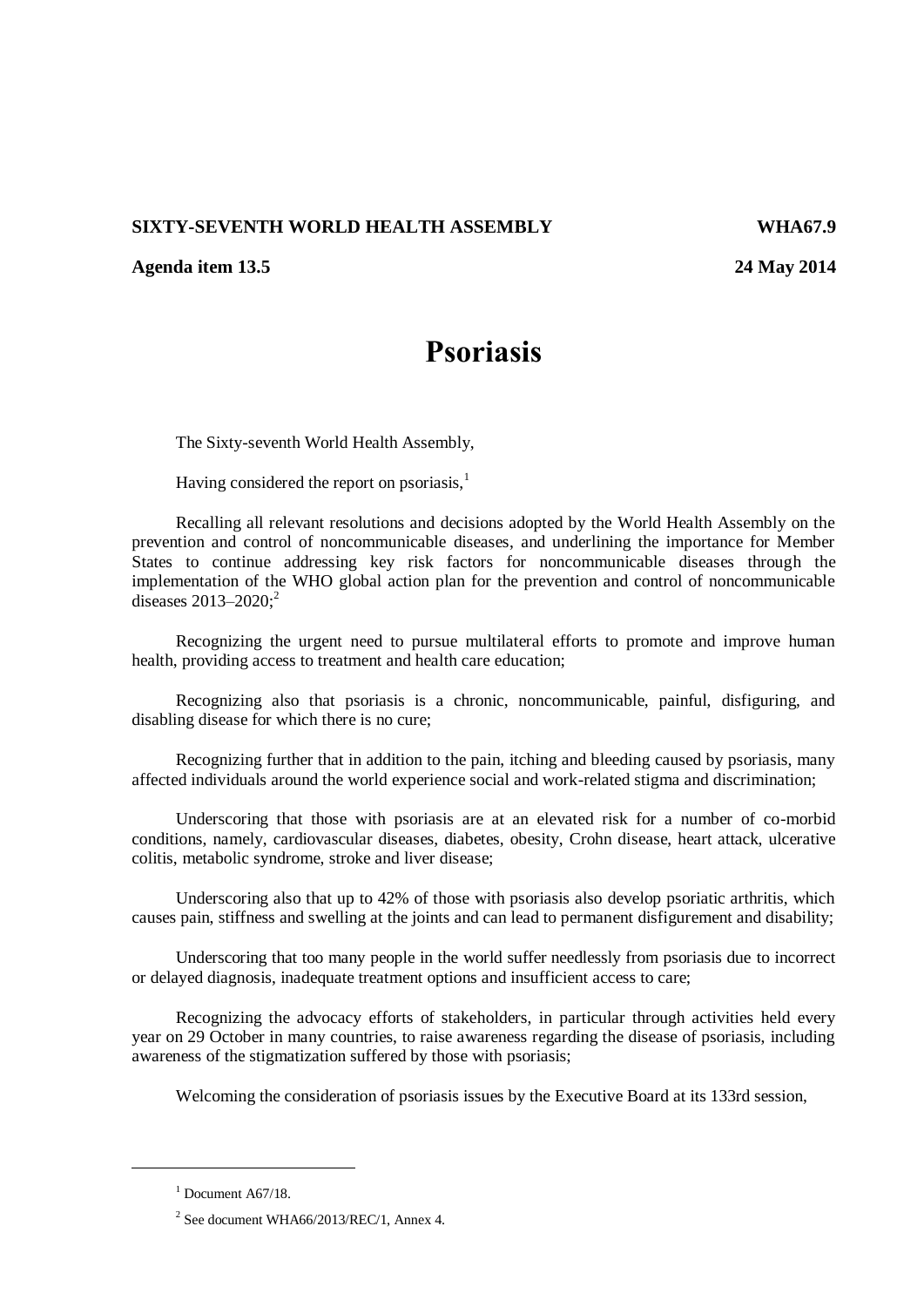## **SIXTY-SEVENTH WORLD HEALTH ASSEMBLY WHA67.9**

## **Agenda item 13.5 24 May 2014**

## **Psoriasis**

The Sixty-seventh World Health Assembly,

Having considered the report on psoriasis, $<sup>1</sup>$ </sup>

Recalling all relevant resolutions and decisions adopted by the World Health Assembly on the prevention and control of noncommunicable diseases, and underlining the importance for Member States to continue addressing key risk factors for noncommunicable diseases through the implementation of the WHO global action plan for the prevention and control of noncommunicable diseases  $2013 - 2020$ ;<sup>2</sup>

Recognizing the urgent need to pursue multilateral efforts to promote and improve human health, providing access to treatment and health care education;

Recognizing also that psoriasis is a chronic, noncommunicable, painful, disfiguring, and disabling disease for which there is no cure;

Recognizing further that in addition to the pain, itching and bleeding caused by psoriasis, many affected individuals around the world experience social and work-related stigma and discrimination;

Underscoring that those with psoriasis are at an elevated risk for a number of co-morbid conditions, namely, cardiovascular diseases, diabetes, obesity, Crohn disease, heart attack, ulcerative colitis, metabolic syndrome, stroke and liver disease;

Underscoring also that up to 42% of those with psoriasis also develop psoriatic arthritis, which causes pain, stiffness and swelling at the joints and can lead to permanent disfigurement and disability;

Underscoring that too many people in the world suffer needlessly from psoriasis due to incorrect or delayed diagnosis, inadequate treatment options and insufficient access to care;

Recognizing the advocacy efforts of stakeholders, in particular through activities held every year on 29 October in many countries, to raise awareness regarding the disease of psoriasis, including awareness of the stigmatization suffered by those with psoriasis;

Welcoming the consideration of psoriasis issues by the Executive Board at its 133rd session,

l

 $1$  Document A67/18.

<sup>2</sup> See document WHA66/2013/REC/1, Annex 4.